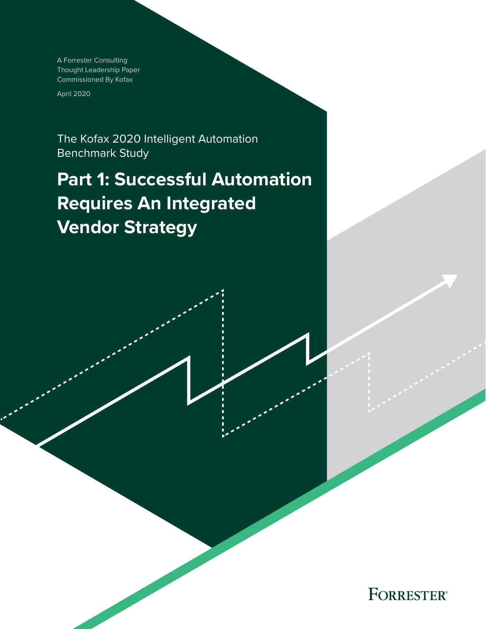A Forrester Consulting Thought Leadership Paper Commissioned By Kofax

April 2020

The Kofax 2020 Intelligent Automation Benchmark Study

# **Part 1: Successful Automation Requires An Integrated Vendor Strategy**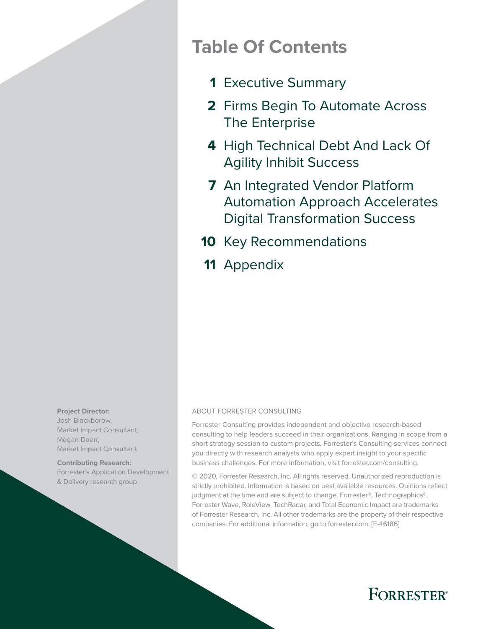# **Table Of Contents**

- [Executive Summary](#page-2-0) **1**
- 2 Firms Begin To Automate Across [The Enterprise](#page-3-0)
- 4 High Technical Debt And Lack Of [Agility Inhibit Success](#page-5-0)
- [An Integrated Vendor Platform](#page-8-0)  **7** [Automation Approach Accelerates](#page-8-0)  [Digital Transformation Success](#page-8-0)
- 10 [Key Recommendations](#page-11-0)
- 11 [Appendix](#page-12-0)

**Project Director:**  Josh Blackborow, Market Impact Consultant; Megan Doerr, Market Impact Consultant

**Contributing Research:**  Forrester's Application Development & Delivery research group

#### ABOUT FORRESTER CONSULTING

Forrester Consulting provides independent and objective research-based consulting to help leaders succeed in their organizations. Ranging in scope from a short strategy session to custom projects, Forrester's Consulting services connect you directly with research analysts who apply expert insight to your specific business challenges. For more information, visit forrester.com/consulting.

© 2020, Forrester Research, Inc. All rights reserved. Unauthorized reproduction is strictly prohibited. Information is based on best available resources. Opinions reflect judgment at the time and are subject to change. Forrester®, Technographics®, Forrester Wave, RoleView, TechRadar, and Total Economic Impact are trademarks of Forrester Research, Inc. All other trademarks are the property of their respective companies. For additional information, go to forrester.com. [E-46186]

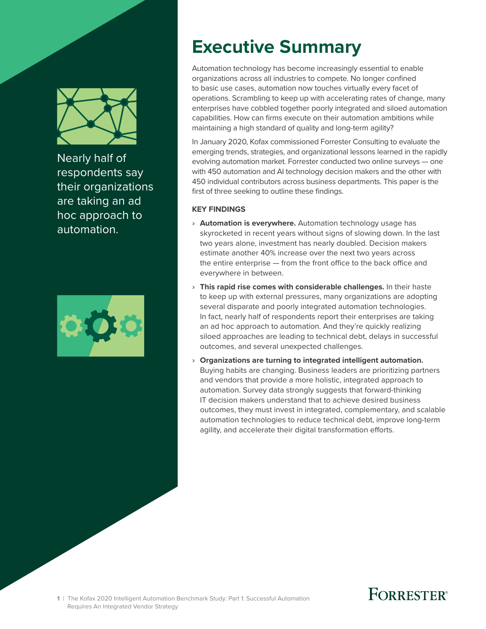<span id="page-2-0"></span>

Nearly half of respondents say their organizations are taking an ad hoc approach to automation.



# **Executive Summary**

Automation technology has become increasingly essential to enable organizations across all industries to compete. No longer confined to basic use cases, automation now touches virtually every facet of operations. Scrambling to keep up with accelerating rates of change, many enterprises have cobbled together poorly integrated and siloed automation capabilities. How can firms execute on their automation ambitions while maintaining a high standard of quality and long-term agility?

In January 2020, Kofax commissioned Forrester Consulting to evaluate the emerging trends, strategies, and organizational lessons learned in the rapidly evolving automation market. Forrester conducted two online surveys — one with 450 automation and AI technology decision makers and the other with 450 individual contributors across business departments. This paper is the first of three seeking to outline these findings.

### **KEY FINDINGS**

- › **Automation is everywhere.** Automation technology usage has skyrocketed in recent years without signs of slowing down. In the last two years alone, investment has nearly doubled. Decision makers estimate another 40% increase over the next two years across the entire enterprise — from the front office to the back office and everywhere in between.
- › **This rapid rise comes with considerable challenges.** In their haste to keep up with external pressures, many organizations are adopting several disparate and poorly integrated automation technologies. In fact, nearly half of respondents report their enterprises are taking an ad hoc approach to automation. And they're quickly realizing siloed approaches are leading to technical debt, delays in successful outcomes, and several unexpected challenges.
- › **Organizations are turning to integrated intelligent automation.** Buying habits are changing. Business leaders are prioritizing partners and vendors that provide a more holistic, integrated approach to automation. Survey data strongly suggests that forward-thinking IT decision makers understand that to achieve desired business outcomes, they must invest in integrated, complementary, and scalable automation technologies to reduce technical debt, improve long-term agility, and accelerate their digital transformation efforts.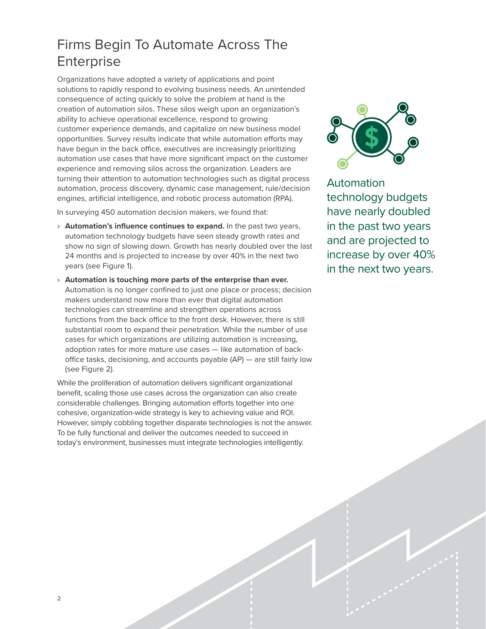### <span id="page-3-0"></span>Firms Begin To Automate Across The **Enterprise**

Organizations have adopted a variety of applications and point solutions to rapidly respond to evolving business needs. An unintended consequence of acting quickly to solve the problem at hand is the creation of automation silos. These silos weigh upon an organization's ability to achieve operational excellence, respond to growing customer experience demands, and capitalize on new business model opportunities. Survey results indicate that while automation efforts may have begun in the back office, executives are increasingly prioritizing automation use cases that have more significant impact on the customer experience and removing silos across the organization. Leaders are turning their attention to automation technologies such as digital process automation, process discovery, dynamic case management, rule/decision engines, artificial intelligence, and robotic process automation (RPA).

In surveying 450 automation decision makers, we found that:

- › **Automation's influence continues to expand.** In the past two years, automation technology budgets have seen steady growth rates and show no sign of slowing down. Growth has nearly doubled over the last 24 months and is projected to increase by over 40% in the next two years (see Figure 1).
- › **Automation is touching more parts of the enterprise than ever.** Automation is no longer confined to just one place or process; decision makers understand now more than ever that digital automation technologies can streamline and strengthen operations across functions from the back office to the front desk. However, there is still substantial room to expand their penetration. While the number of use cases for which organizations are utilizing automation is increasing, adoption rates for more mature use cases — like automation of backoffice tasks, decisioning, and accounts payable (AP) — are still fairly low (see Figure 2).

While the proliferation of automation delivers significant organizational benefit, scaling those use cases across the organization can also create considerable challenges. Bringing automation efforts together into one cohesive, organization-wide strategy is key to achieving value and ROI. However, simply cobbling together disparate technologies is not the answer. To be fully functional and deliver the outcomes needed to succeed in today's environment, businesses must integrate technologies intelligently.



Automation technology budgets have nearly doubled in the past two years and are projected to increase by over 40% in the next two years.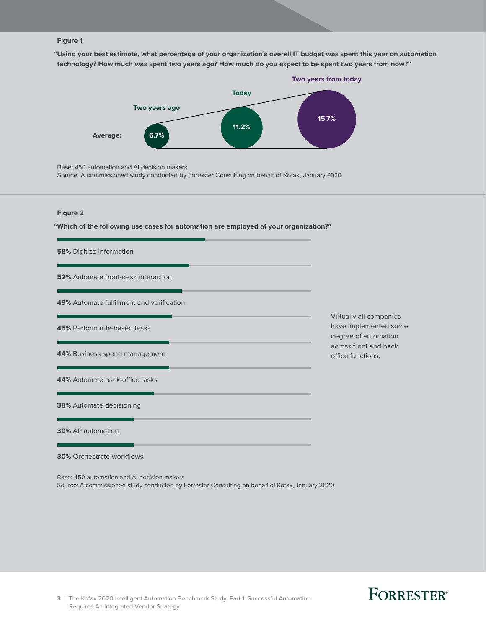#### **Figure 1**

**"Using your best estimate, what percentage of your organization's overall IT budget was spent this year on automation technology? How much was spent two years ago? How much do you expect to be spent two years from now?"**



Base: 450 automation and AI decision makers

Source: A commissioned study conducted by Forrester Consulting on behalf of Kofax, January 2020

#### **Figure 2**

**"Which of the following use cases for automation are employed at your organization?"**

| 58% Digitize information                   |                                                                          |
|--------------------------------------------|--------------------------------------------------------------------------|
| <b>52%</b> Automate front-desk interaction |                                                                          |
| 49% Automate fulfillment and verification  |                                                                          |
| 45% Perform rule-based tasks               | Virtually all companies<br>have implemented some<br>degree of automation |
| 44% Business spend management              | across front and back<br>office functions.                               |
| 44% Automate back-office tasks             |                                                                          |
| <b>38%</b> Automate decisioning            |                                                                          |
| 30% AP automation                          |                                                                          |
| <b>30%</b> Orchestrate workflows           |                                                                          |

Base: 450 automation and AI decision makers

Source: A commissioned study conducted by Forrester Consulting on behalf of Kofax, January 2020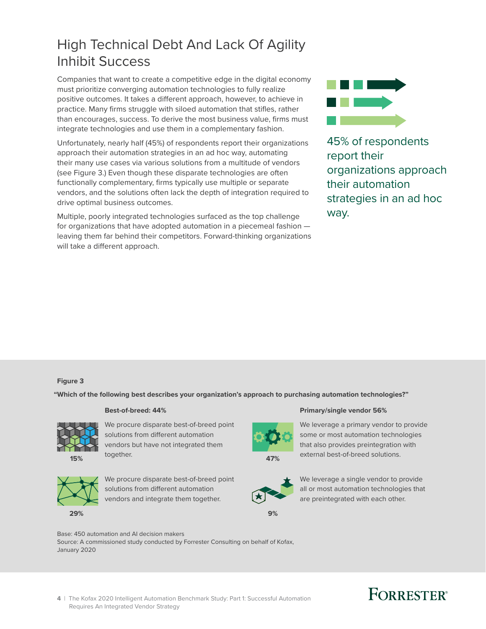### <span id="page-5-0"></span>High Technical Debt And Lack Of Agility Inhibit Success

Companies that want to create a competitive edge in the digital economy must prioritize converging automation technologies to fully realize positive outcomes. It takes a different approach, however, to achieve in practice. Many firms struggle with siloed automation that stifles, rather than encourages, success. To derive the most business value, firms must integrate technologies and use them in a complementary fashion.

Unfortunately, nearly half (45%) of respondents report their organizations approach their automation strategies in an ad hoc way, automating their many use cases via various solutions from a multitude of vendors (see Figure 3.) Even though these disparate technologies are often functionally complementary, firms typically use multiple or separate vendors, and the solutions often lack the depth of integration required to drive optimal business outcomes.

Multiple, poorly integrated technologies surfaced as the top challenge for organizations that have adopted automation in a piecemeal fashion leaving them far behind their competitors. Forward-thinking organizations will take a different approach.



45% of respondents report their organizations approach their automation strategies in an ad hoc way.

### Full page **Figure 3**

**"Which of the following best describes your organization's approach to purchasing automation technologies?"**



We procure disparate best-of-breed point solutions from different automation vendors but have not integrated them together.



We procure disparate best-of-breed point solutions from different automation vendors and integrate them together.

#### **Best-of-breed: 44% Primary/single vendor 56%**



We leverage a primary vendor to provide some or most automation technologies that also provides preintegration with external best-of-breed solutions.



**9%**

We leverage a single vendor to provide all or most automation technologies that are preintegrated with each other.

Base: 450 automation and AI decision makers

Source: A commissioned study conducted by Forrester Consulting on behalf of Kofax, January 2020

# **FORRESTER®**

**4** | The Kofax 2020 Intelligent Automation Benchmark Study: Part 1: Successful Automation Requires An Integrated Vendor Strategy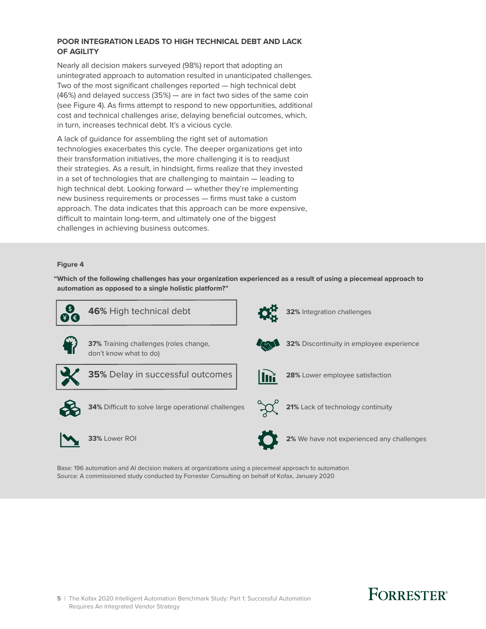### **POOR INTEGRATION LEADS TO HIGH TECHNICAL DEBT AND LACK OF AGILITY**

Nearly all decision makers surveyed (98%) report that adopting an unintegrated approach to automation resulted in unanticipated challenges. Two of the most significant challenges reported — high technical debt (46%) and delayed success (35%) — are in fact two sides of the same coin (see Figure 4). As firms attempt to respond to new opportunities, additional cost and technical challenges arise, delaying beneficial outcomes, which, in turn, increases technical debt. It's a vicious cycle.

A lack of guidance for assembling the right set of automation technologies exacerbates this cycle. The deeper organizations get into their transformation initiatives, the more challenging it is to readjust their strategies. As a result, in hindsight, firms realize that they invested in a set of technologies that are challenging to maintain — leading to high technical debt. Looking forward — whether they're implementing new business requirements or processes — firms must take a custom approach. The data indicates that this approach can be more expensive, difficult to maintain long-term, and ultimately one of the biggest challenges in achieving business outcomes.

### Full page **Figure 4**

**"Which of the following challenges has your organization experienced as a result of using a piecemeal approach to automation as opposed to a single holistic platform?"**



Base: 196 automation and AI decision makers at organizations using a piecemeal approach to automation Source: A commissioned study conducted by Forrester Consulting on behalf of Kofax, January 2020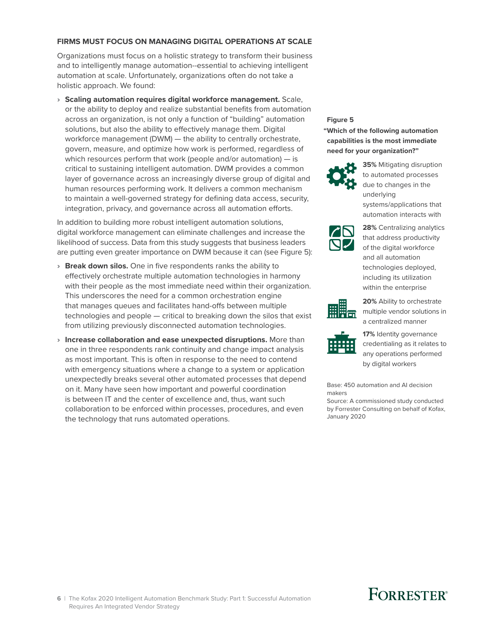### **FIRMS MUST FOCUS ON MANAGING DIGITAL OPERATIONS AT SCALE**

Organizations must focus on a holistic strategy to transform their business and to intelligently manage automation--essential to achieving intelligent automation at scale. Unfortunately, organizations often do not take a holistic approach. We found:

› **Scaling automation requires digital workforce management.** Scale, or the ability to deploy and realize substantial benefits from automation across an organization, is not only a function of "building" automation **Figure 5**<br>Solutions, but also the ability to effectively manage them. Digital solutions, but also the ability to effectively manage them. Digital workforce management (DWM) — the ability to centrally orchestrate, govern, measure, and optimize how work is performed, regardless of which resources perform that work (people and/or automation) — is critical to sustaining intelligent automation. DWM provides a common layer of governance across an increasingly diverse group of digital and human resources performing work. It delivers a common mechanism to maintain a well-governed strategy for defining data access, security, integration, privacy, and governance across all automation efforts.

> In addition to building more robust intelligent automation solutions, digital workforce management can eliminate challenges and increase the likelihood of success. Data from this study suggests that business leaders are putting even greater importance on DWM because it can (see Figure 5):

- › **Break down silos.** One in five respondents ranks the ability to effectively orchestrate multiple automation technologies in harmony with their people as the most immediate need within their organization. This underscores the need for a common orchestration engine that manages queues and facilitates hand-offs between multiple technologies and people — critical to breaking down the silos that exist from utilizing previously disconnected automation technologies.
- › **Increase collaboration and ease unexpected disruptions.** More than one in three respondents rank continuity and change impact analysis as most important. This is often in response to the need to contend with emergency situations where a change to a system or application unexpectedly breaks several other automated processes that depend on it. Many have seen how important and powerful coordination is between IT and the center of excellence and, thus, want such collaboration to be enforced within processes, procedures, and even the technology that runs automated operations.

**"Which of the following automation capabilities is the most immediate need for your organization?"**



**35%** Mitigating disruption to automated processes due to changes in the underlying systems/applications that automation interacts with



**28%** Centralizing analytics that address productivity of the digital workforce and all automation technologies deployed, including its utilization within the enterprise



**20%** Ability to orchestrate multiple vendor solutions in a centralized manner



**17%** Identity governance credentialing as it relates to any operations performed by digital workers

Base: 450 automation and AI decision makers

Source: A commissioned study conducted by Forrester Consulting on behalf of Kofax, January 2020

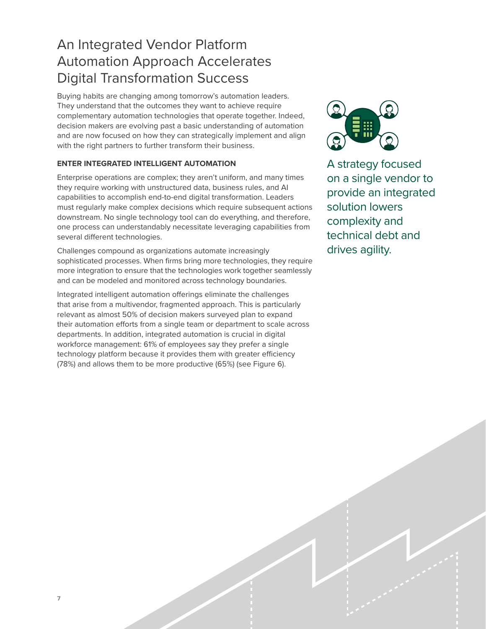### <span id="page-8-0"></span>An Integrated Vendor Platform Automation Approach Accelerates Digital Transformation Success

Buying habits are changing among tomorrow's automation leaders. They understand that the outcomes they want to achieve require complementary automation technologies that operate together. Indeed, decision makers are evolving past a basic understanding of automation and are now focused on how they can strategically implement and align with the right partners to further transform their business.

### **ENTER INTEGRATED INTELLIGENT AUTOMATION**

Enterprise operations are complex; they aren't uniform, and many times they require working with unstructured data, business rules, and AI capabilities to accomplish end-to-end digital transformation. Leaders must regularly make complex decisions which require subsequent actions downstream. No single technology tool can do everything, and therefore, one process can understandably necessitate leveraging capabilities from several different technologies.

Challenges compound as organizations automate increasingly sophisticated processes. When firms bring more technologies, they require more integration to ensure that the technologies work together seamlessly and can be modeled and monitored across technology boundaries.

Integrated intelligent automation offerings eliminate the challenges that arise from a multivendor, fragmented approach. This is particularly relevant as almost 50% of decision makers surveyed plan to expand their automation efforts from a single team or department to scale across departments. In addition, integrated automation is crucial in digital workforce management: 61% of employees say they prefer a single technology platform because it provides them with greater efficiency (78%) and allows them to be more productive (65%) (see Figure 6).



A strategy focused on a single vendor to provide an integrated solution lowers complexity and technical debt and drives agility.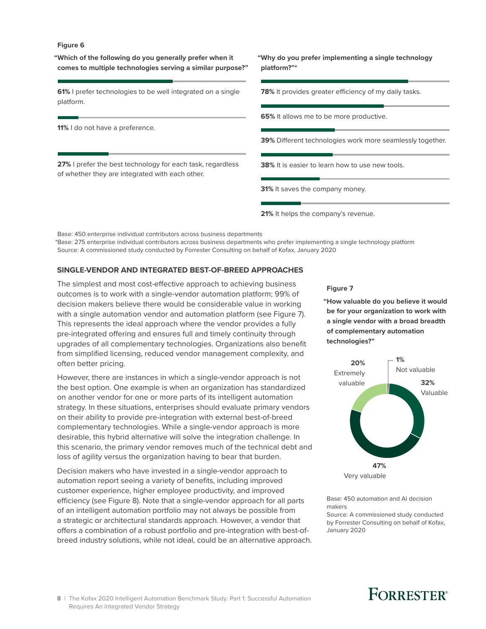#### **Figure 6**

**"Which of the following do you generally prefer when it comes to multiple technologies serving a similar purpose?"**

**61%** I prefer technologies to be well integrated on a single platform.

**11%** I do not have a preference.

**27%** I prefer the best technology for each task, regardless of whether they are integrated with each other.

**"Why do you prefer implementing a single technology platform?"\***

**78%** It provides greater efficiency of my daily tasks.

**65%** It allows me to be more productive.

**39%** Different technologies work more seamlessly together.

**38%** It is easier to learn how to use new tools.

**31%** It saves the company money.

21% It helps the company's revenue.

Base: 450 enterprise individual contributors across business departments

\*Base: 275 enterprise individual contributors across business departments who prefer implementing a single technology platform Source: A commissioned study conducted by Forrester Consulting on behalf of Kofax, January 2020

#### **SINGLE-VENDOR AND INTEGRATED BEST-OF-BREED APPROACHES**

The simplest and most cost-effective approach to achieving business outcomes is to work with a single-vendor automation platform; 99% of **Figure 7** decision makers believe there would be considerable value in working with a single automation vendor and automation platform (see Figure 7). This represents the ideal approach where the vendor provides a fully pre-integrated offering and ensures full and timely continuity through upgrades of all complementary technologies. Organizations also benefit from simplified licensing, reduced vendor management complexity, and often better pricing.

> However, there are instances in which a single-vendor approach is not the best option. One example is when an organization has standardized on another vendor for one or more parts of its intelligent automation strategy. In these situations, enterprises should evaluate primary vendors on their ability to provide pre-integration with external best-of-breed complementary technologies. While a single-vendor approach is more desirable, this hybrid alternative will solve the integration challenge. In this scenario, the primary vendor removes much of the technical debt and loss of agility versus the organization having to bear that burden.

> Decision makers who have invested in a single-vendor approach to automation report seeing a variety of benefits, including improved customer experience, higher employee productivity, and improved efficiency (see Figure 8). Note that a single-vendor approach for all parts of an intelligent automation portfolio may not always be possible from a strategic or architectural standards approach. However, a vendor that offers a combination of a robust portfolio and pre-integration with best-ofbreed industry solutions, while not ideal, could be an alternative approach.

**"How valuable do you believe it would be for your organization to work with a single vendor with a broad breadth of complementary automation technologies?"**



Base: 450 automation and AI decision makers Source: A commissioned study conducted by Forrester Consulting on behalf of Kofax, January 2020

#### **8** | The Kofax 2020 Intelligent Automation Benchmark Study: Part 1: Successful Automation Requires An Integrated Vendor Strategy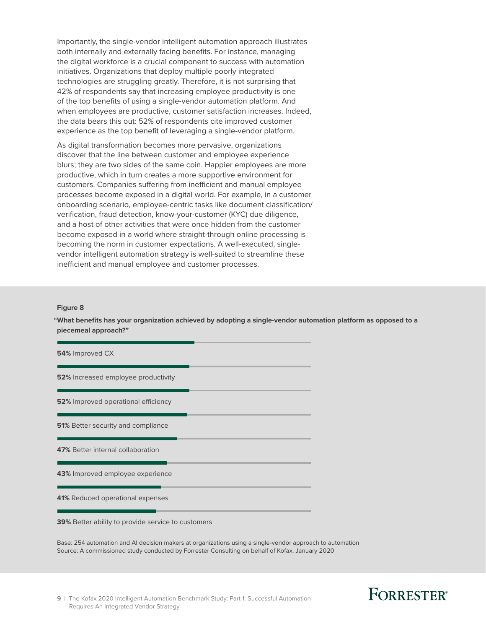Importantly, the single-vendor intelligent automation approach illustrates both internally and externally facing benefits. For instance, managing the digital workforce is a crucial component to success with automation initiatives. Organizations that deploy multiple poorly integrated technologies are struggling greatly. Therefore, it is not surprising that 42% of respondents say that increasing employee productivity is one of the top benefits of using a single-vendor automation platform. And when employees are productive, customer satisfaction increases. Indeed, the data bears this out: 52% of respondents cite improved customer experience as the top benefit of leveraging a single-vendor platform.

As digital transformation becomes more pervasive, organizations discover that the line between customer and employee experience blurs; they are two sides of the same coin. Happier employees are more productive, which in turn creates a more supportive environment for customers. Companies suffering from inefficient and manual employee processes become exposed in a digital world. For example, in a customer onboarding scenario, employee-centric tasks like document classification/ verification, fraud detection, know-your-customer (KYC) due diligence, and a host of other activities that were once hidden from the customer become exposed in a world where straight-through online processing is becoming the norm in customer expectations. A well-executed, singlevendor intelligent automation strategy is well-suited to streamline these inefficient and manual employee and customer processes.

#### **Figure 8**

**"What benefits has your organization achieved by adopting a single-vendor automation platform as opposed to a piecemeal approach?"**

| 54% Improved CX                                           |  |
|-----------------------------------------------------------|--|
| <b>52%</b> Increased employee productivity                |  |
| <b>52%</b> Improved operational efficiency                |  |
| <b>51%</b> Better security and compliance                 |  |
| 47% Better internal collaboration                         |  |
| 43% Improved employee experience                          |  |
| 41% Reduced operational expenses                          |  |
| <b>39%</b> Better ability to provide service to customers |  |

Base: 254 automation and AI decision makers at organizations using a single-vendor approach to automation Source: A commissioned study conducted by Forrester Consulting on behalf of Kofax, January 2020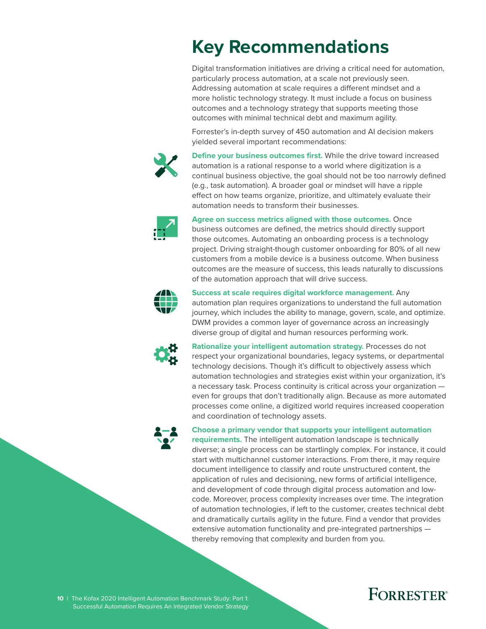# <span id="page-11-0"></span>**Key Recommendations**

Digital transformation initiatives are driving a critical need for automation, particularly process automation, at a scale not previously seen. Addressing automation at scale requires a different mindset and a more holistic technology strategy. It must include a focus on business outcomes and a technology strategy that supports meeting those outcomes with minimal technical debt and maximum agility.

Forrester's in-depth survey of 450 automation and AI decision makers yielded several important recommendations:



**Define your business outcomes first.** While the drive toward increased automation is a rational response to a world where digitization is a continual business objective, the goal should not be too narrowly defined (e.g., task automation). A broader goal or mindset will have a ripple effect on how teams organize, prioritize, and ultimately evaluate their automation needs to transform their businesses.



**Agree on success metrics aligned with those outcomes.** Once business outcomes are defined, the metrics should directly support those outcomes. Automating an onboarding process is a technology project. Driving straight-though customer onboarding for 80% of all new customers from a mobile device is a business outcome. When business outcomes are the measure of success, this leads naturally to discussions



**Success at scale requires digital workforce management.** Any

of the automation approach that will drive success.

automation plan requires organizations to understand the full automation journey, which includes the ability to manage, govern, scale, and optimize. DWM provides a common layer of governance across an increasingly diverse group of digital and human resources performing work.



**Rationalize your intelligent automation strategy.** Processes do not respect your organizational boundaries, legacy systems, or departmental technology decisions. Though it's difficult to objectively assess which automation technologies and strategies exist within your organization, it's a necessary task. Process continuity is critical across your organization even for groups that don't traditionally align. Because as more automated processes come online, a digitized world requires increased cooperation and coordination of technology assets.



**Choose a primary vendor that supports your intelligent automation** 

**requirements.** The intelligent automation landscape is technically diverse; a single process can be startlingly complex. For instance, it could start with multichannel customer interactions. From there, it may require document intelligence to classify and route unstructured content, the application of rules and decisioning, new forms of artificial intelligence, and development of code through digital process automation and lowcode. Moreover, process complexity increases over time. The integration of automation technologies, if left to the customer, creates technical debt and dramatically curtails agility in the future. Find a vendor that provides extensive automation functionality and pre-integrated partnerships thereby removing that complexity and burden from you.

**10** | The Kofax 2020 Intelligent Automation Benchmark Study: Part 1: Successful Automation Requires An Integrated Vendor Strategy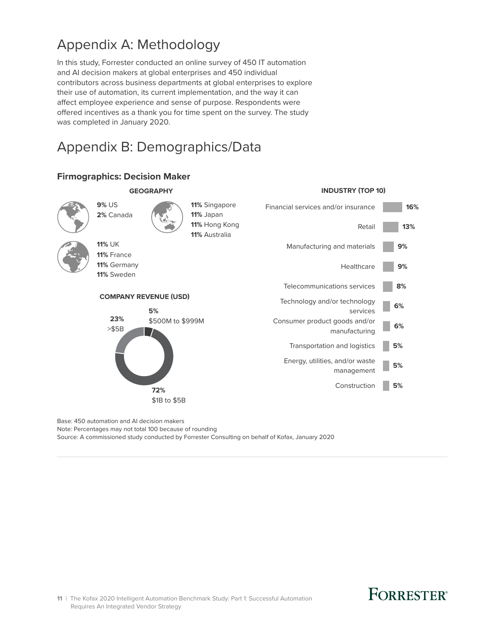### <span id="page-12-0"></span>Appendix A: Methodology

In this study, Forrester conducted an online survey of 450 IT automation and AI decision makers at global enterprises and 450 individual contributors across business departments at global enterprises to explore their use of automation, its current implementation, and the way it can affect employee experience and sense of purpose. Respondents were offered incentives as a thank you for time spent on the survey. The study was completed in January 2020.

### Appendix B: Demographics/Data



### **Firmographics: Decision Maker**

Base: 450 automation and AI decision makers Note: Percentages may not total 100 because of rounding Source: A commissioned study conducted by Forrester Consulting on behalf of Kofax, January 2020

**11** | The Kofax 2020 Intelligent Automation Benchmark Study: Part 1: Successful Automation Requires An Integrated Vendor Strategy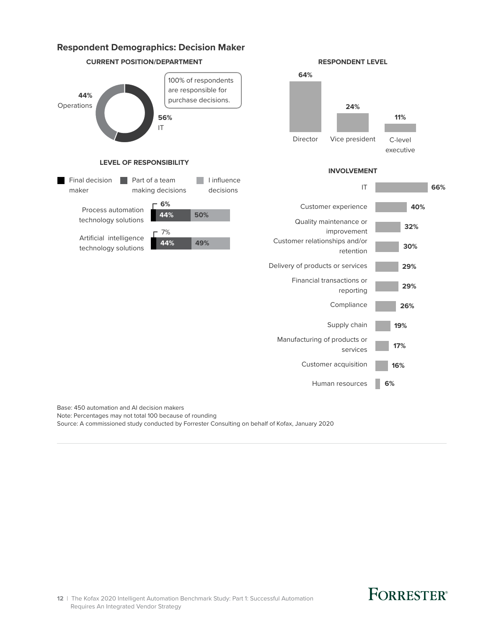

Note: Percentages may not total 100 because of rounding Source: A commissioned study conducted by Forrester Consulting on behalf of Kofax, January 2020